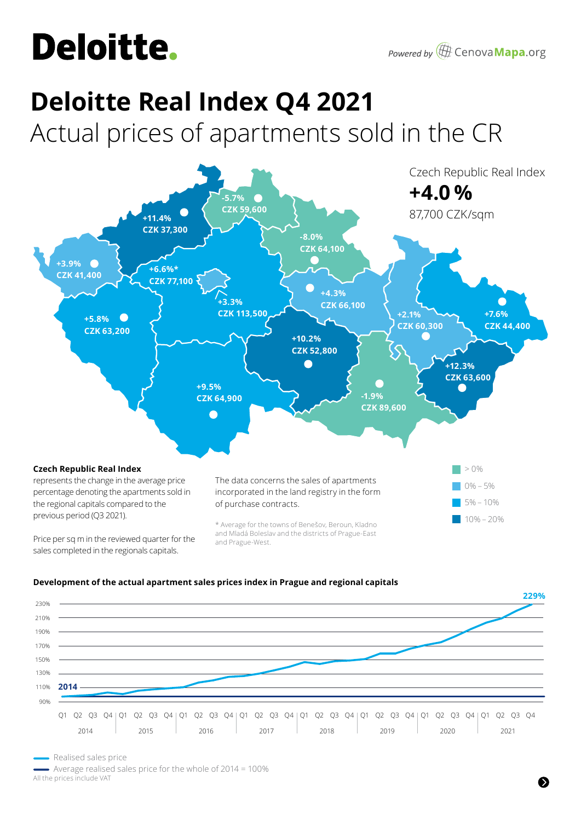## **Deloitte.**

# **Deloitte Real Index Q4 2021**

Actual prices of apartments sold in the CR



### **Development of the actual apartment sales prices index in Prague and regional capitals**



Realised sales price

 Average realised sales price for the whole of 2014 = 100% All the prices include VAT